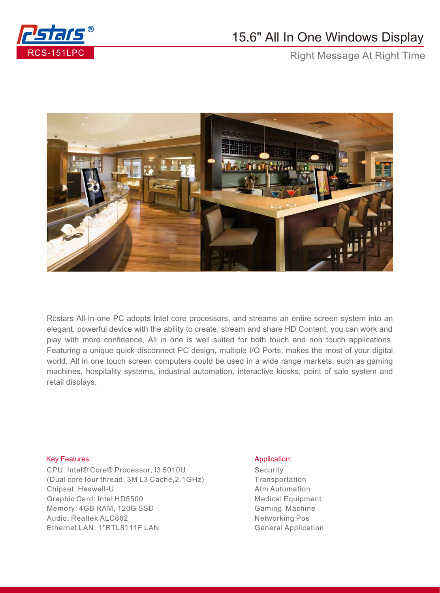

## 15.6" All In One Windows Display

Right Message At Right Time



Rcstars All-In-one PC adopts Intel core processors, and streams an entire screen system into an elegant, powerful device with the ability to create, stream and share HD Content, you can work and play with more confidence, All in one is well suited for both touch and non touch applications. Featuring a unique quick disconnect PC design, multiple I/O Ports, makes the most of your digital world. All in one touch screen computers could be used in a wide range markets, such as gaming machines, hospitality systems, industrial automation, interactive kiosks, point of sale system and retail displays.

## Key Features: Application: Application: Application: Application: Application: Application: Application: Application: Application: Application: Application: Application: Application: Application: Application: Application:

CPU: Intel® Core® Processor, I3 5010U (Dual core four thread, 3M L3 Cache,2.1GHz) Chipset: Haswell-U Graphic Card: Intel HD5500 Memory: 4GB RAM, 120G SSD Audio: Realtek ALC662 Ethernet LAN: 1\*RTL8111F LAN

**Security Transportation** Atm Automation Medical Equipment Gaming Machine Networking Pos General Application